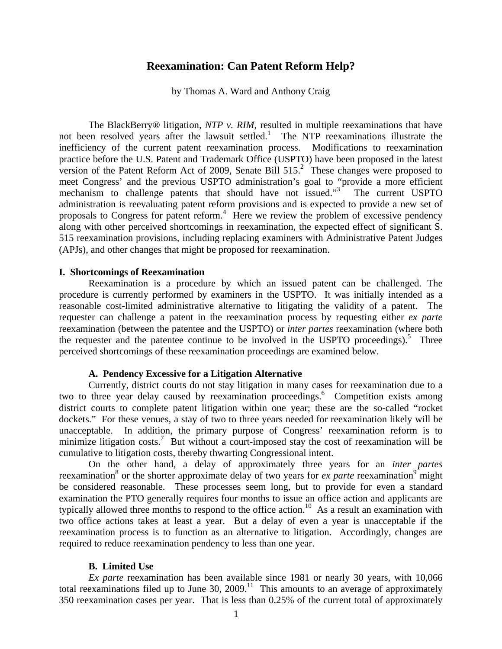# **Reexamination: Can Patent Reform Help?**

by Thomas A. Ward and Anthony Craig

The BlackBerry<sup>®</sup> litigation, *NTP v. RIM*, resulted in multiple reexaminations that have not been resolved years after the lawsuit settled.<sup>1</sup> The NTP reexaminations illustrate the inefficiency of the current patent reexamination process. Modifications to reexamination practice before the U.S. Patent and Trademark Office (USPTO) have been proposed in the latest version of the Patent Reform Act of 2009, Senate Bill  $515<sup>2</sup>$  These changes were proposed to meet Congress' and the previous USPTO administration's goal to "provide a more efficient mechanism to challenge patents that should have not issued."<sup>3</sup> The current USPTO administration is reevaluating patent reform provisions and is expected to provide a new set of proposals to Congress for patent reform.<sup>4</sup> Here we review the problem of excessive pendency along with other perceived shortcomings in reexamination, the expected effect of significant S. 515 reexamination provisions, including replacing examiners with Administrative Patent Judges (APJs), and other changes that might be proposed for reexamination.

### **I. Shortcomings of Reexamination**

Reexamination is a procedure by which an issued patent can be challenged. The procedure is currently performed by examiners in the USPTO. It was initially intended as a reasonable cost-limited administrative alternative to litigating the validity of a patent. The requester can challenge a patent in the reexamination process by requesting either *ex parte* reexamination (between the patentee and the USPTO) or *inter partes* reexamination (where both the requester and the patentee continue to be involved in the USPTO proceedings).<sup>5</sup> Three perceived shortcomings of these reexamination proceedings are examined below.

## **A. Pendency Excessive for a Litigation Alternative**

 Currently, district courts do not stay litigation in many cases for reexamination due to a two to three year delay caused by reexamination proceedings.<sup>6</sup> Competition exists among district courts to complete patent litigation within one year; these are the so-called "rocket dockets." For these venues, a stay of two to three years needed for reexamination likely will be unacceptable. In addition, the primary purpose of Congress' reexamination reform is to minimize litigation costs.<sup>7</sup> But without a court-imposed stay the cost of reexamination will be cumulative to litigation costs, thereby thwarting Congressional intent.

On the other hand, a delay of approximately three years for an *inter partes* reexamination<sup>8</sup> or the shorter approximate delay of two years for *ex parte* reexamination<sup>9</sup> might be considered reasonable. These processes seem long, but to provide for even a standard examination the PTO generally requires four months to issue an office action and applicants are typically allowed three months to respond to the office action.<sup>10</sup> As a result an examination with two office actions takes at least a year. But a delay of even a year is unacceptable if the reexamination process is to function as an alternative to litigation. Accordingly, changes are required to reduce reexamination pendency to less than one year.

### **B. Limited Use**

*Ex parte* reexamination has been available since 1981 or nearly 30 years, with 10,066 total reexaminations filed up to June 30, 2009.<sup>11</sup> This amounts to an average of approximately 350 reexamination cases per year. That is less than 0.25% of the current total of approximately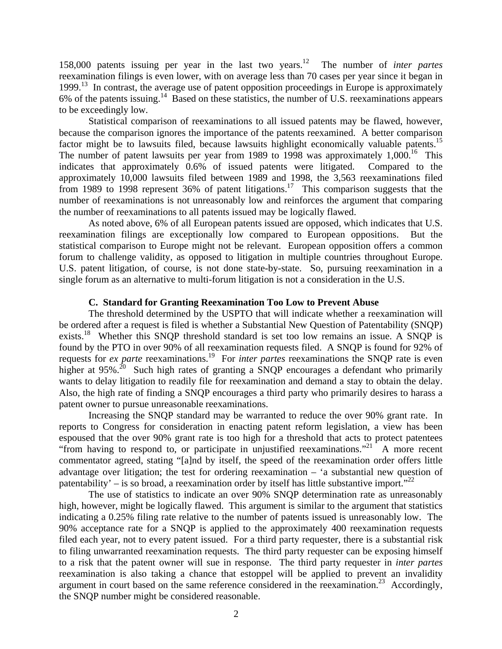158,000 patents issuing per year in the last two years.12 The number of *inter partes* reexamination filings is even lower, with on average less than 70 cases per year since it began in  $1999<sup>13</sup>$  In contrast, the average use of patent opposition proceedings in Europe is approximately 6% of the patents issuing.14 Based on these statistics, the number of U.S. reexaminations appears to be exceedingly low.

Statistical comparison of reexaminations to all issued patents may be flawed, however, because the comparison ignores the importance of the patents reexamined. A better comparison factor might be to lawsuits filed, because lawsuits highlight economically valuable patents.<sup>15</sup> The number of patent lawsuits per year from 1989 to 1998 was approximately  $1,000$ .<sup>16</sup> This indicates that approximately 0.6% of issued patents were litigated. Compared to the approximately 10,000 lawsuits filed between 1989 and 1998, the 3,563 reexaminations filed from 1989 to 1998 represent 36% of patent litigations.<sup>17</sup> This comparison suggests that the number of reexaminations is not unreasonably low and reinforces the argument that comparing the number of reexaminations to all patents issued may be logically flawed.

 As noted above, 6% of all European patents issued are opposed, which indicates that U.S. reexamination filings are exceptionally low compared to European oppositions. But the statistical comparison to Europe might not be relevant. European opposition offers a common forum to challenge validity, as opposed to litigation in multiple countries throughout Europe. U.S. patent litigation, of course, is not done state-by-state. So, pursuing reexamination in a single forum as an alternative to multi-forum litigation is not a consideration in the U.S.

## **C. Standard for Granting Reexamination Too Low to Prevent Abuse**

 The threshold determined by the USPTO that will indicate whether a reexamination will be ordered after a request is filed is whether a Substantial New Question of Patentability (SNQP) exists.<sup>18</sup> Whether this SNQP threshold standard is set too low remains an issue. A SNQP is found by the PTO in over 90% of all reexamination requests filed. A SNQP is found for 92% of requests for *ex parte* reexaminations.19 For *inter partes* reexaminations the SNQP rate is even higher at 95%.<sup>20</sup> Such high rates of granting a SNOP encourages a defendant who primarily wants to delay litigation to readily file for reexamination and demand a stay to obtain the delay. Also, the high rate of finding a SNQP encourages a third party who primarily desires to harass a patent owner to pursue unreasonable reexaminations.

Increasing the SNQP standard may be warranted to reduce the over 90% grant rate. In reports to Congress for consideration in enacting patent reform legislation, a view has been espoused that the over 90% grant rate is too high for a threshold that acts to protect patentees "from having to respond to, or participate in unjustified reexaminations."<sup>21</sup> A more recent commentator agreed, stating "[a]nd by itself, the speed of the reexamination order offers little advantage over litigation; the test for ordering reexamination – 'a substantial new question of patentability' – is so broad, a reexamination order by itself has little substantive import."<sup>22</sup>

The use of statistics to indicate an over 90% SNQP determination rate as unreasonably high, however, might be logically flawed. This argument is similar to the argument that statistics indicating a 0.25% filing rate relative to the number of patents issued is unreasonably low. The 90% acceptance rate for a SNQP is applied to the approximately 400 reexamination requests filed each year, not to every patent issued. For a third party requester, there is a substantial risk to filing unwarranted reexamination requests. The third party requester can be exposing himself to a risk that the patent owner will sue in response. The third party requester in *inter partes* reexamination is also taking a chance that estoppel will be applied to prevent an invalidity argument in court based on the same reference considered in the reexamination.<sup>23</sup> Accordingly, the SNQP number might be considered reasonable.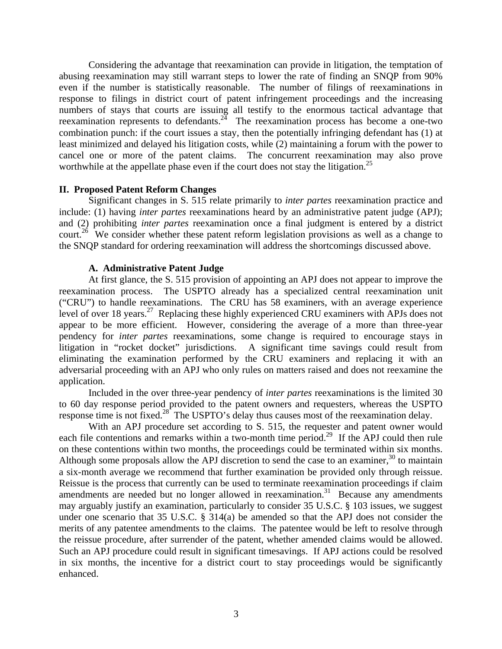Considering the advantage that reexamination can provide in litigation, the temptation of abusing reexamination may still warrant steps to lower the rate of finding an SNQP from 90% even if the number is statistically reasonable. The number of filings of reexaminations in response to filings in district court of patent infringement proceedings and the increasing numbers of stays that courts are issuing all testify to the enormous tactical advantage that reexamination represents to defendants.<sup>24</sup> The reexamination process has become a one-two combination punch: if the court issues a stay, then the potentially infringing defendant has (1) at least minimized and delayed his litigation costs, while (2) maintaining a forum with the power to cancel one or more of the patent claims. The concurrent reexamination may also prove worthwhile at the appellate phase even if the court does not stay the litigation.<sup>25</sup>

# **II. Proposed Patent Reform Changes**

 Significant changes in S. 515 relate primarily to *inter partes* reexamination practice and include: (1) having *inter partes* reexaminations heard by an administrative patent judge (APJ); and (2) prohibiting *inter partes* reexamination once a final judgment is entered by a district court.<sup>26</sup> We consider whether these patent reform legislation provisions as well as a change to the SNQP standard for ordering reexamination will address the shortcomings discussed above.

# **A. Administrative Patent Judge**

 At first glance, the S. 515 provision of appointing an APJ does not appear to improve the reexamination process. The USPTO already has a specialized central reexamination unit ("CRU") to handle reexaminations. The CRU has 58 examiners, with an average experience level of over 18 years.<sup>27</sup> Replacing these highly experienced CRU examiners with APJs does not appear to be more efficient. However, considering the average of a more than three-year pendency for *inter partes* reexaminations, some change is required to encourage stays in litigation in "rocket docket" jurisdictions. A significant time savings could result from eliminating the examination performed by the CRU examiners and replacing it with an adversarial proceeding with an APJ who only rules on matters raised and does not reexamine the application.

 Included in the over three-year pendency of *inter partes* reexaminations is the limited 30 to 60 day response period provided to the patent owners and requesters, whereas the USPTO response time is not fixed.<sup>28</sup> The USPTO's delay thus causes most of the reexamination delay.

With an APJ procedure set according to S. 515, the requester and patent owner would each file contentions and remarks within a two-month time period.<sup>29</sup> If the APJ could then rule on these contentions within two months, the proceedings could be terminated within six months. Although some proposals allow the APJ discretion to send the case to an examiner,<sup>30</sup> to maintain a six-month average we recommend that further examination be provided only through reissue. Reissue is the process that currently can be used to terminate reexamination proceedings if claim amendments are needed but no longer allowed in reexamination.<sup>31</sup> Because any amendments may arguably justify an examination, particularly to consider 35 U.S.C. § 103 issues, we suggest under one scenario that 35 U.S.C. § 314(a) be amended so that the APJ does not consider the merits of any patentee amendments to the claims. The patentee would be left to resolve through the reissue procedure, after surrender of the patent, whether amended claims would be allowed. Such an APJ procedure could result in significant timesavings. If APJ actions could be resolved in six months, the incentive for a district court to stay proceedings would be significantly enhanced.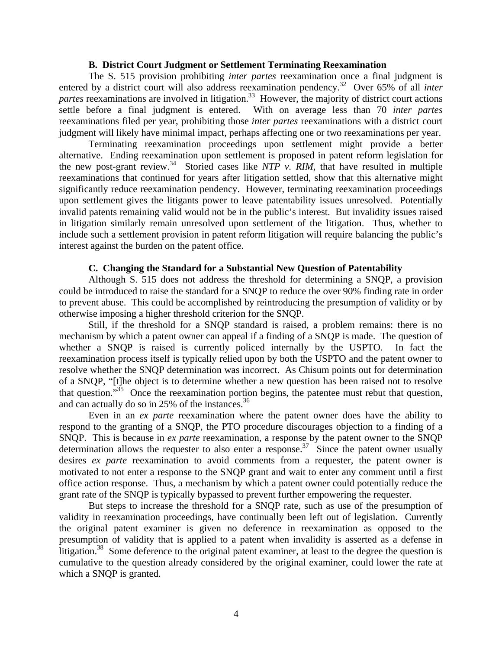## **B. District Court Judgment or Settlement Terminating Reexamination**

 The S. 515 provision prohibiting *inter partes* reexamination once a final judgment is entered by a district court will also address reexamination pendency.<sup>32</sup> Over 65% of all *inter partes* reexaminations are involved in litigation.<sup>33</sup> However, the majority of district court actions settle before a final judgment is entered. With on average less than 70 *inter partes* reexaminations filed per year, prohibiting those *inter partes* reexaminations with a district court judgment will likely have minimal impact, perhaps affecting one or two reexaminations per year.

 Terminating reexamination proceedings upon settlement might provide a better alternative. Ending reexamination upon settlement is proposed in patent reform legislation for the new post-grant review.<sup>34</sup> Storied cases like *NTP v. RIM*, that have resulted in multiple reexaminations that continued for years after litigation settled, show that this alternative might significantly reduce reexamination pendency. However, terminating reexamination proceedings upon settlement gives the litigants power to leave patentability issues unresolved. Potentially invalid patents remaining valid would not be in the public's interest. But invalidity issues raised in litigation similarly remain unresolved upon settlement of the litigation. Thus, whether to include such a settlement provision in patent reform litigation will require balancing the public's interest against the burden on the patent office.

#### **C. Changing the Standard for a Substantial New Question of Patentability**

 Although S. 515 does not address the threshold for determining a SNQP, a provision could be introduced to raise the standard for a SNQP to reduce the over 90% finding rate in order to prevent abuse. This could be accomplished by reintroducing the presumption of validity or by otherwise imposing a higher threshold criterion for the SNQP.

 Still, if the threshold for a SNQP standard is raised, a problem remains: there is no mechanism by which a patent owner can appeal if a finding of a SNQP is made. The question of whether a SNQP is raised is currently policed internally by the USPTO. In fact the reexamination process itself is typically relied upon by both the USPTO and the patent owner to resolve whether the SNQP determination was incorrect. As Chisum points out for determination of a SNQP, "[t]he object is to determine whether a new question has been raised not to resolve that question."35 Once the reexamination portion begins, the patentee must rebut that question, and can actually do so in 25% of the instances.<sup>36</sup>

 Even in an *ex parte* reexamination where the patent owner does have the ability to respond to the granting of a SNQP, the PTO procedure discourages objection to a finding of a SNQP. This is because in *ex parte* reexamination, a response by the patent owner to the SNQP determination allows the requester to also enter a response.<sup>37</sup> Since the patent owner usually desires *ex parte* reexamination to avoid comments from a requester, the patent owner is motivated to not enter a response to the SNQP grant and wait to enter any comment until a first office action response. Thus, a mechanism by which a patent owner could potentially reduce the grant rate of the SNQP is typically bypassed to prevent further empowering the requester.

 But steps to increase the threshold for a SNQP rate, such as use of the presumption of validity in reexamination proceedings, have continually been left out of legislation. Currently the original patent examiner is given no deference in reexamination as opposed to the presumption of validity that is applied to a patent when invalidity is asserted as a defense in litigation.<sup>38</sup> Some deference to the original patent examiner, at least to the degree the question is cumulative to the question already considered by the original examiner, could lower the rate at which a SNQP is granted.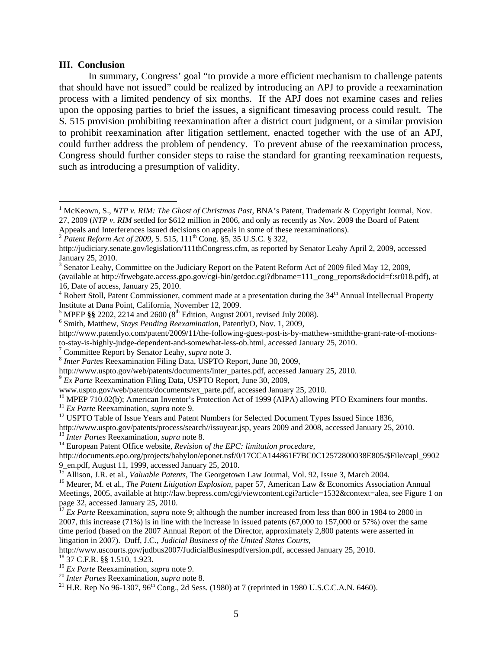### **III. Conclusion**

 $\overline{a}$ 

In summary, Congress' goal "to provide a more efficient mechanism to challenge patents that should have not issued" could be realized by introducing an APJ to provide a reexamination process with a limited pendency of six months. If the APJ does not examine cases and relies upon the opposing parties to brief the issues, a significant timesaving process could result. The S. 515 provision prohibiting reexamination after a district court judgment, or a similar provision to prohibit reexamination after litigation settlement, enacted together with the use of an APJ, could further address the problem of pendency. To prevent abuse of the reexamination process, Congress should further consider steps to raise the standard for granting reexamination requests, such as introducing a presumption of validity.

www.uspto.gov/web/patents/documents/ex\_parte.pdf, accessed January 25, 2010.<br><sup>10</sup> MPEP 710.02(b); American Inventor's Protection Act of 1999 (AIPA) allowing PTO Examiners four months.<br><sup>11</sup> *Ex Parte* Reexamination. *supra* 

http://www.uspto.gov/patents/process/search//issuyear.jsp, years 2009 and 2008, accessed January 25, 2010.<br><sup>13</sup> Inter Partes Reexamination, *supra* note 8.<br><sup>14</sup> European Patent Office website, *Revision of the EPC: limitat* 

http://documents.epo.org/projects/babylon/eponet.nsf/0/17CCA144861F7BC0C12572800038E805/\$File/capl\_9902 9\_en.pdf, August 11, 1999, accessed January 25, 2010.<br><sup>15</sup> Allison, J.R. et al., *Valuable Patents*, The Georgetown Law Journal, Vol. 92, Issue 3, March 2004.

http://www.uscourts.gov/judbus2007/JudicialBusinespdfversion.pdf, accessed January 25, 2010.<br><sup>18</sup> 37 C.F.R. §§ 1.510, 1.923.<br><sup>19</sup> *Ex Parte* Reexamination, *supra* note 9.

<sup>&</sup>lt;sup>1</sup> McKeown, S., *NTP v. RIM: The Ghost of Christmas Past*, BNA's Patent, Trademark & Copyright Journal, Nov. 27, 2009 (*NTP v. RIM* settled for \$612 million in 2006, and only as recently as Nov. 2009 the Board of Patent

Appeals and Interferences issued decisions on appeals in some of these reexaminations). <sup>2</sup> *Patent Reform Act of 2009*, S. 515, 111<sup>th</sup> Cong. §5, 35 U.S.C. § 322,

http://judiciary.senate.gov/legislation/111thCongress.cfm, as reported by Senator Leahy April 2, 2009, accessed January 25, 2010.

<sup>&</sup>lt;sup>3</sup> Senator Leahy, Committee on the Judiciary Report on the Patent Reform Act of 2009 filed May 12, 2009,

<sup>(</sup>available at http://frwebgate.access.gpo.gov/cgi-bin/getdoc.cgi?dbname=111\_cong\_reports&docid=f:sr018.pdf), at 16, Date of access, January 25, 2010.

<sup>&</sup>lt;sup>4</sup> Robert Stoll, Patent Commissioner, comment made at a presentation during the 34<sup>th</sup> Annual Intellectual Property Institute at Dana Point, California, November 12, 2009.

<sup>&</sup>lt;sup>5</sup> MPEP  $\S$ § 2202, 2214 and 2600 ( $8<sup>th</sup>$  Edition, August 2001, revised July 2008).

Smith, Matthew, *Stays Pending Reexamination*, PatentlyO, Nov. 1, 2009,

http://www.patentlyo.com/patent/2009/11/the-following-guest-post-is-by-matthew-smiththe-grant-rate-of-motionsto-stay-is-highly-judge-dependent-and-somewhat-less-ob.html, accessed January 25, 2010.<br>
<sup>7</sup> Committee Report by Senator Leahy, *supra* note 3.

<sup>&</sup>lt;sup>8</sup> *Inter Partes* Reexamination Filing Data, USPTO Report, June 30, 2009,

http://www.uspto.gov/web/patents/documents/inter\_partes.pdf, accessed January 25, 2010. 9 *Ex Parte* Reexamination Filing Data, USPTO Report, June 30, 2009,

<sup>&</sup>lt;sup>12</sup> USPTO Table of Issue Years and Patent Numbers for Selected Document Types Issued Since 1836,

<sup>&</sup>lt;sup>16</sup> Meurer, M. et al., *The Patent Litigation Explosion*, paper 57, American Law & Economics Association Annual Meetings, 2005, available at http://law.bepress.com/cgi/viewcontent.cgi?article=1532&context=alea, see Figure 1 on page 32, accessed January 25, 2010.

<sup>17</sup> *Ex Parte* Reexamination, *supra* note 9; although the number increased from less than 800 in 1984 to 2800 in 2007, this increase (71%) is in line with the increase in issued patents (67,000 to 157,000 or 57%) over the same time period (based on the 2007 Annual Report of the Director, approximately 2,800 patents were asserted in litigation in 2007). Duff, J.C., *Judicial Business of the United States Courts*,

<sup>&</sup>lt;sup>20</sup> *Inter Partes* Reexamination, *supra* note 8.<br><sup>21</sup> H.R. Rep No 96-1307, 96<sup>th</sup> Cong., 2d Sess. (1980) at 7 (reprinted in 1980 U.S.C.C.A.N. 6460).